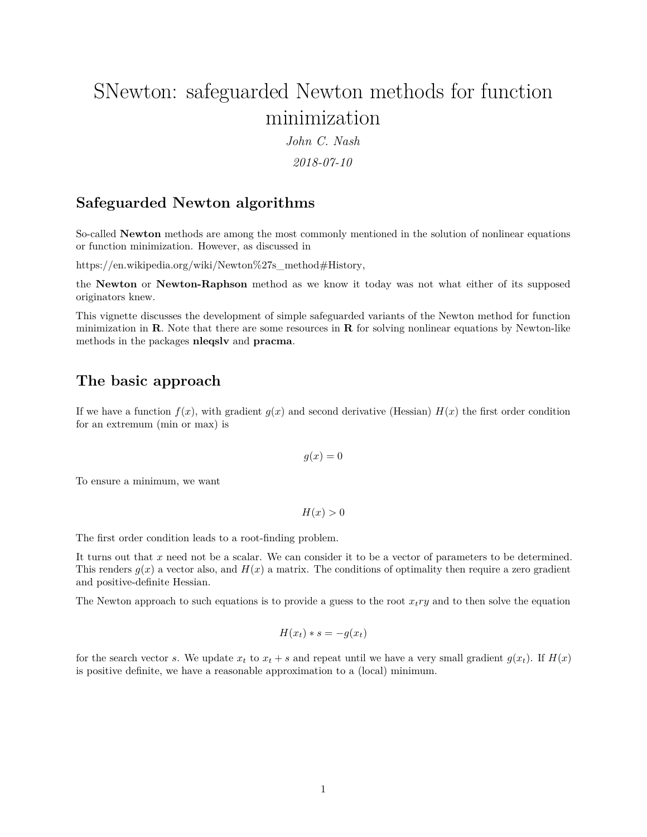# SNewton: safeguarded Newton methods for function minimization

*John C. Nash*

*2018-07-10*

# **Safeguarded Newton algorithms**

So-called **Newton** methods are among the most commonly mentioned in the solution of nonlinear equations or function minimization. However, as discussed in

[https://en.wikipedia.org/wiki/Newton%27s\\_method#History,](https://en.wikipedia.org/wiki/Newton%27s_method#History)

the **Newton** or **Newton-Raphson** method as we know it today was not what either of its supposed originators knew.

This vignette discusses the development of simple safeguarded variants of the Newton method for function minimization in **R**. Note that there are some resources in **R** for solving nonlinear equations by Newton-like methods in the packages **nleqslv** and **pracma**.

# **The basic approach**

If we have a function  $f(x)$ , with gradient  $g(x)$  and second derivative (Hessian)  $H(x)$  the first order condition for an extremum (min or max) is

$$
g(x) = 0
$$

To ensure a minimum, we want

 $H(x) > 0$ 

The first order condition leads to a root-finding problem.

It turns out that *x* need not be a scalar. We can consider it to be a vector of parameters to be determined. This renders  $g(x)$  a vector also, and  $H(x)$  a matrix. The conditions of optimality then require a zero gradient and positive-definite Hessian.

The Newton approach to such equations is to provide a guess to the root  $x_t r y$  and to then solve the equation

$$
H(x_t) * s = -g(x_t)
$$

for the search vector *s*. We update  $x_t$  to  $x_t + s$  and repeat until we have a very small gradient  $g(x_t)$ . If  $H(x)$ is positive definite, we have a reasonable approximation to a (local) minimum.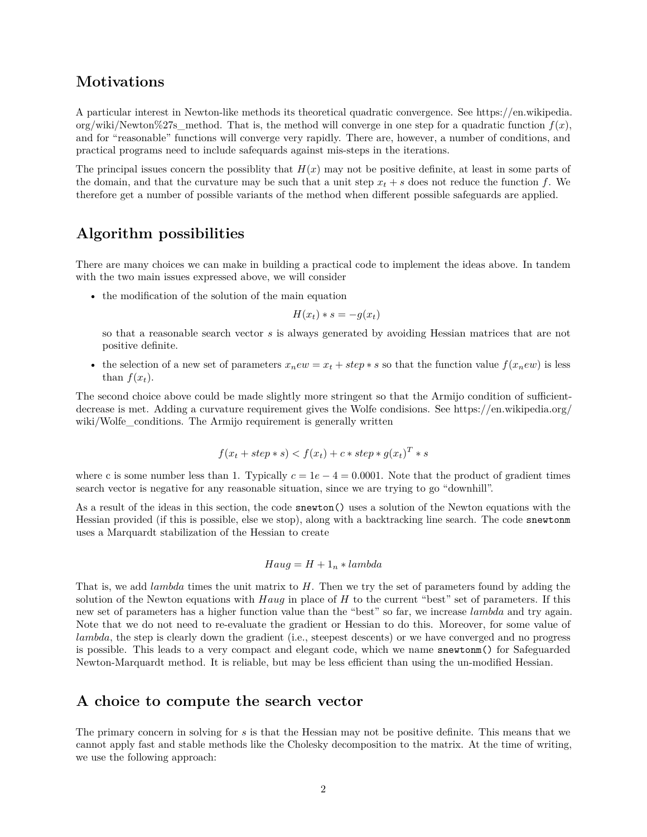## **Motivations**

A particular interest in Newton-like methods its theoretical quadratic convergence. See [https://en.wikipedia.](https://en.wikipedia.org/wiki/Newton%27s_method) org/wiki/Newton%27s method. That is, the method will converge in one step for a quadratic function  $f(x)$ , and for "reasonable" functions will converge very rapidly. There are, however, a number of conditions, and practical programs need to include safequards against mis-steps in the iterations.

The principal issues concern the possibility that  $H(x)$  may not be positive definite, at least in some parts of the domain, and that the curvature may be such that a unit step  $x_t + s$  does not reduce the function  $f$ . We therefore get a number of possible variants of the method when different possible safeguards are applied.

# **Algorithm possibilities**

There are many choices we can make in building a practical code to implement the ideas above. In tandem with the two main issues expressed above, we will consider

• the modification of the solution of the main equation

$$
H(x_t) * s = -g(x_t)
$$

so that a reasonable search vector *s* is always generated by avoiding Hessian matrices that are not positive definite.

• the selection of a new set of parameters  $x_n e w = x_t + step * s$  so that the function value  $f(x_n e w)$  is less than  $f(x_t)$ .

The second choice above could be made slightly more stringent so that the Armijo condition of sufficientdecrease is met. Adding a curvature requirement gives the Wolfe condisions. See [https://en.wikipedia.org/](https://en.wikipedia.org/wiki/Wolfe_conditions) wiki/Wolfe conditions. The Armijo requirement is generally written

$$
f(x_t + step * s) < f(x_t) + c * step * g(x_t)^T * s
$$

where c is some number less than 1. Typically  $c = 1e - 4 = 0.0001$ . Note that the product of gradient times search vector is negative for any reasonable situation, since we are trying to go "downhill".

As a result of the ideas in this section, the code snewton() uses a solution of the Newton equations with the Hessian provided (if this is possible, else we stop), along with a backtracking line search. The code snewtonm uses a Marquardt stabilization of the Hessian to create

$$
Haug = H + 1n * lambda
$$

That is, we add *lambda* times the unit matrix to *H*. Then we try the set of parameters found by adding the solution of the Newton equations with *Haug* in place of *H* to the current "best" set of parameters. If this new set of parameters has a higher function value than the "best" so far, we increase *lambda* and try again. Note that we do not need to re-evaluate the gradient or Hessian to do this. Moreover, for some value of *lambda*, the step is clearly down the gradient (i.e., steepest descents) or we have converged and no progress is possible. This leads to a very compact and elegant code, which we name snewtonm() for Safeguarded Newton-Marquardt method. It is reliable, but may be less efficient than using the un-modified Hessian.

### **A choice to compute the search vector**

The primary concern in solving for *s* is that the Hessian may not be positive definite. This means that we cannot apply fast and stable methods like the Cholesky decomposition to the matrix. At the time of writing, we use the following approach: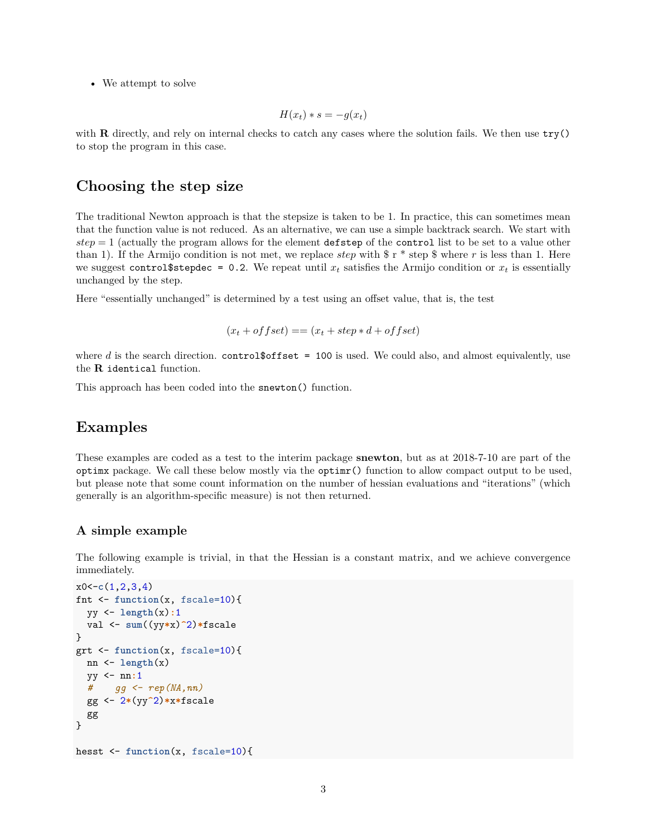• We attempt to solve

$$
H(x_t) * s = -g(x_t)
$$

with **R** directly, and rely on internal checks to catch any cases where the solution fails. We then use  $\text{try}()$ to stop the program in this case.

## **Choosing the step size**

The traditional Newton approach is that the stepsize is taken to be 1. In practice, this can sometimes mean that the function value is not reduced. As an alternative, we can use a simple backtrack search. We start with *step* = 1 (actually the program allows for the element defstep of the control list to be set to a value other than 1). If the Armijo condition is not met, we replace *step* with  $\frac{1}{2}r^*$  step  $\frac{1}{2}$  where r is less than 1. Here we suggest control \$stepdec = 0.2. We repeat until  $x_t$  satisfies the Armijo condition or  $x_t$  is essentially unchanged by the step.

Here "essentially unchanged" is determined by a test using an offset value, that is, the test

```
(x_t + \text{offset}) == (x_t + \text{step} * d + \text{offset})
```
where *d* is the search direction. control\$offset = 100 is used. We could also, and almost equivalently, use the **R** identical function.

This approach has been coded into the snewton() function.

## **Examples**

These examples are coded as a test to the interim package **snewton**, but as at 2018-7-10 are part of the optimx package. We call these below mostly via the optimr() function to allow compact output to be used, but please note that some count information on the number of hessian evaluations and "iterations" (which generally is an algorithm-specific measure) is not then returned.

#### **A simple example**

The following example is trivial, in that the Hessian is a constant matrix, and we achieve convergence immediately.

```
x0<-c(1,2,3,4)
fnt <- function(x, fscale=10){
  yy <- length(x):1
  val <- sum((yy*x)^2)*fscale
}
grt <- function(x, fscale=10){
  nn <- length(x)
  yy <- nn:1
  # gg <- rep(NA,nn)
  gg <- 2*(yy^2)*x*fscale
  gg
}
hesst <- function(x, fscale=10){
```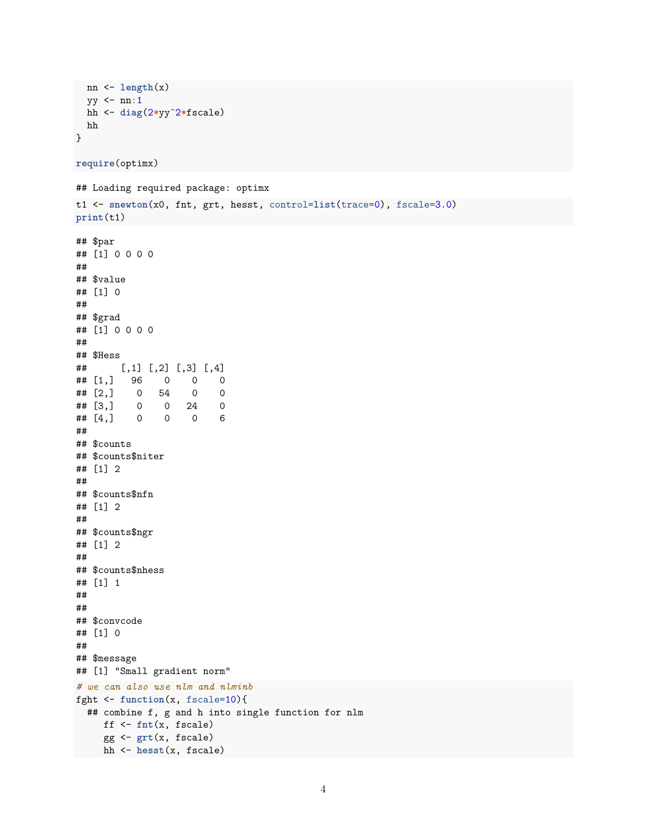```
nn \leftarrow length(x)yy \le -nn:1hh \leftarrow diag(2*yy^2*fscale)
 hh
\mathcal{L}require(optimx)
## Loading required package: optimx
t1 <- snewton(x0, fnt, grt, hesst, control=list(trace=0), fscale=3.0)
print(t1)## $par
## [1] 0 0 0 0
##
## $value
## [1] 0
#### $grad
## [1] 0 0 0 0
#### $Hess
## [,1] [,2] [,3] [,4]
## [1,] 96 0 0
                            \overline{0}\## [2,] 0 54
                            \circ\overline{0}## [3,]\overline{0}0\qquad 24\overline{0}## [4,]\overline{0}\overline{0}0 \t 6\# \### $counts
## $counts$niter
## [1] 2
##
## $counts$nfn
## [1] 2
#### $counts$ngr
## [1] 2##
## $counts$nhess
## [1] 1###### $convcode
## [1] 0
\# \### $message
## [1] "Small gradient norm"
# we can also use nlm and nlminb
fght \leftarrow function(x, fscale=10){
 ## combine f, g and h into single function for nlm
     \int f \left( -fnt(x, fscale) \right)gg \leftarrow grt(x, fscale)hh <- hesst(x, fscale)
```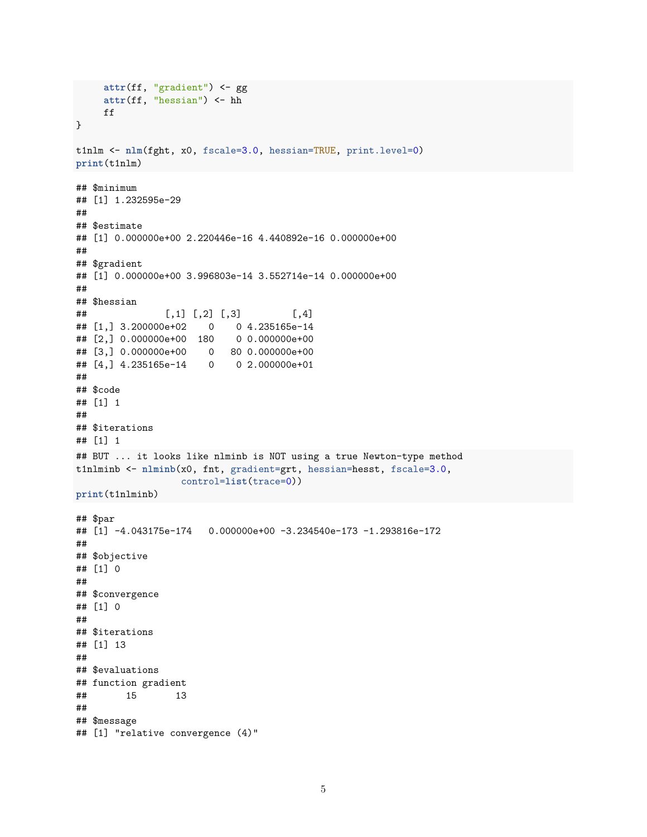```
attr(ff, "gradient") <- gg
    attr(ff, "hessian") <- hh
    ff
}
t1nlm <- nlm(fght, x0, fscale=3.0, hessian=TRUE, print.level=0)
print(t1nlm)
## $minimum
## [1] 1.232595e-29
##
## $estimate
## [1] 0.000000e+00 2.220446e-16 4.440892e-16 0.000000e+00
##
## $gradient
## [1] 0.000000e+00 3.996803e-14 3.552714e-14 0.000000e+00
##
## $hessian
## [ ,1] [ ,2] [ ,3] [ ,4]## [1,] 3.200000e+02 0 0 4.235165e-14
## [2,] 0.000000e+00 180 0 0.000000e+00
## [3,] 0.000000e+00 0 80 0.000000e+00
## [4,] 4.235165e-14 0 0 2.000000e+01
##
## $code
## [1] 1
##
## $iterations
## [1] 1
## BUT ... it looks like nlminb is NOT using a true Newton-type method
t1nlminb <- nlminb(x0, fnt, gradient=grt, hessian=hesst, fscale=3.0,
                  control=list(trace=0))
print(t1nlminb)
## $par
## [1] -4.043175e-174 0.000000e+00 -3.234540e-173 -1.293816e-172
##
## $objective
## [1] 0
##
## $convergence
## [1] 0
##
## $iterations
## [1] 13
##
## $evaluations
## function gradient
## 15 13
##
## $message
## [1] "relative convergence (4)"
```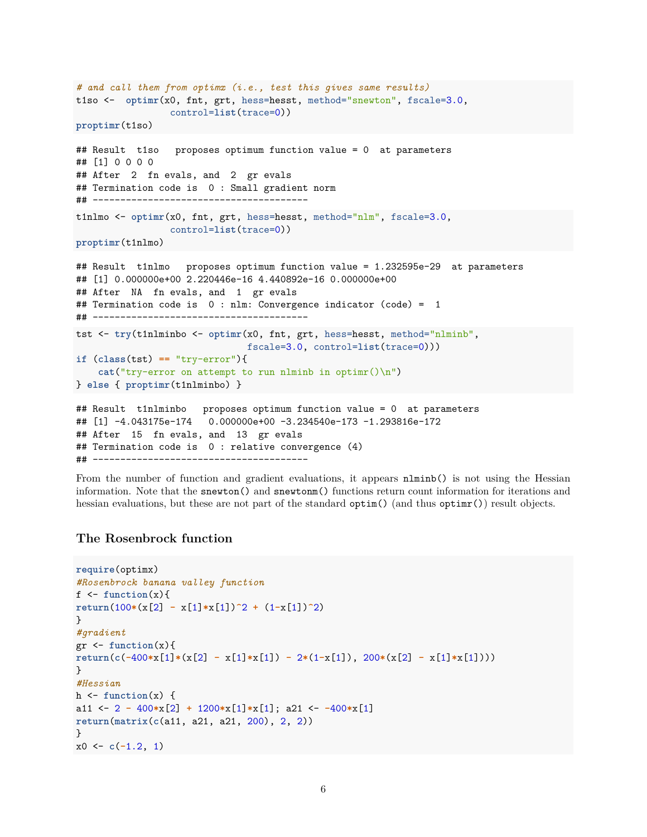```
# and call them from optimx (i.e., test this gives same results)
t1so <- optimr(x0, fnt, grt, hess=hesst, method="snewton", fscale=3.0,
                control=list(trace=0))
proptimr(t1so)
## Result t1so proposes optimum function value = 0 at parameters
## [1] 0 0 0 0
## After 2 fn evals, and 2 gr evals
## Termination code is 0 : Small gradient norm
## ---------------------------------------
t1nlmo <- optimr(x0, fnt, grt, hess=hesst, method="nlm", fscale=3.0,
                 control=list(trace=0))
proptimr(t1nlmo)
## Result t1nlmo proposes optimum function value = 1.232595e-29 at parameters
## [1] 0.000000e+00 2.220446e-16 4.440892e-16 0.000000e+00
## After NA fn evals, and 1 gr evals
## Termination code is 0 : nlm: Convergence indicator (code) = 1
## ---------------------------------------
tst <- try(t1nlminbo <- optimr(x0, fnt, grt, hess=hesst, method="nlminb",
                              fscale=3.0, control=list(trace=0)))
if (class(tst) == "try-error"){
    cat("try-error on attempt to run nlminb in optimr()\n")
} else { proptimr(t1nlminbo) }
## Result t1nlminbo proposes optimum function value = 0 at parameters
## [1] -4.043175e-174 0.000000e+00 -3.234540e-173 -1.293816e-172
## After 15 fn evals, and 13 gr evals
## Termination code is 0 : relative convergence (4)
```
## ---------------------------------------

From the number of function and gradient evaluations, it appears  $nlmin(b)$  is not using the Hessian information. Note that the snewton() and snewtonm() functions return count information for iterations and hessian evaluations, but these are not part of the standard optim() (and thus optimr()) result objects.

### **The Rosenbrock function**

```
require(optimx)
#Rosenbrock banana valley function
f \leftarrow function(x)return(100*(x[2] - x[1]*x[1])^2 + (1-x[1])^2)}
#gradient
gr <- function(x){
return(c(-400*x[1]*(x[2] - x[1]*x[1]) - 2*(1-x[1]), 200*(x[2] - x[1]*x[1])))
}
#Hessian
h \leftarrow function(x) {
a11 <- 2 - 400*x[2] + 1200*x[1]*x[1]; a21 <- -400*x[1]
return(matrix(c(a11, a21, a21, 200), 2, 2))
}
x0 \leftarrow c(-1.2, 1)
```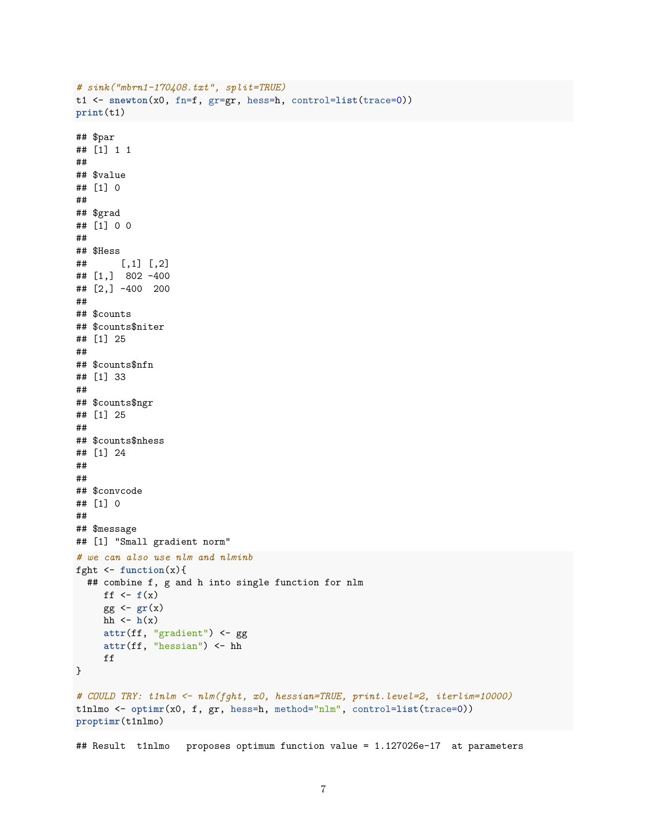```
# sinh("mbrn1-170408.txt", split=TRUE)t1 <- snewton(x0, fn=f, gr=gr, hess=h, control=list(trace=0))
print(t1)## $par
## [1] 1 1
#### $value
## [1] 0
##
## $grad
## [1] 0 0
##
## $Hess
\##
       [,1] [,2]\# [1, 3 802 - 400## [2,] -400 200
##
## $counts
## $counts$niter
## [1] 25
#### $counts$nfn
## [1] 33
##
## $counts$ngr
## [1] 25
#### $counts$nhess
## [1] 24
###### $convcode
## [1] 0
#### $message
## [1] "Small gradient norm"
# we can also use nlm and nlminb
fght \leftarrow function(x){
  ## combine f, g and h into single function for nlm
    ff \leftarrow f(x)gg \leftarrow gr(x)hh \leftarrow h(x)attr(ff, "gradient") <- gg
     attr(ff, "hessian") \leftarrow hhff
\}# COULD TRY: t1nlm <- nlm(fght, x0, hessian=TRUE, print.level=2, iterlim=10000)
tinlmo <- optimr(x0, f, gr, hess=h, method="nlm", control=list(trace=0))
proptimr(t1nlmo)
```
## Result tinlmo proposes optimum function value = 1.127026e-17 at parameters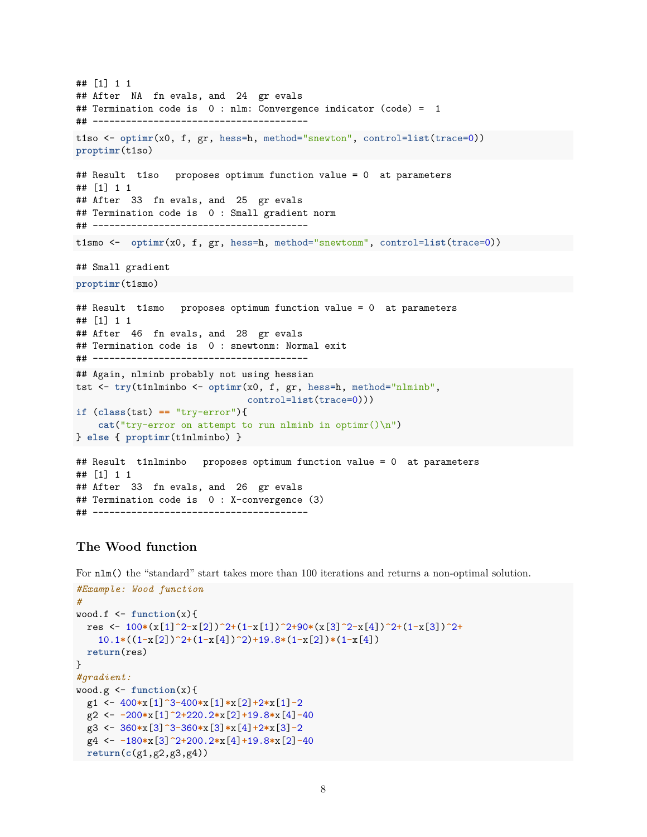```
## [1] 1 1
## After NA fn evals, and 24 gr evals
## Termination code is 0 : nlm: Convergence indicator (code) = 1
## ---------------------------------------
t1so <- optimr(x0, f, gr, hess=h, method="snewton", control=list(trace=0))
proptimr(t1so)
## Result t1so proposes optimum function value = 0 at parameters
## [1] 1 1
## After 33 fn evals, and 25 gr evals
## Termination code is 0 : Small gradient norm
## ---------------------------------------
t1smo <- optimr(x0, f, gr, hess=h, method="snewtonm", control=list(trace=0))
## Small gradient
proptimr(t1smo)
## Result t1smo proposes optimum function value = 0 at parameters
## [1] 1 1
## After 46 fn evals, and 28 gr evals
## Termination code is 0 : snewtonm: Normal exit
## ---------------------------------------
## Again, nlminb probably not using hessian
tst <- try(t1nlminbo <- optimr(x0, f, gr, hess=h, method="nlminb",
                              control=list(trace=0)))
if (class(tst) == "try-error"){
   cat("try-error on attempt to run nlminb in optimr()\n")
} else { proptimr(t1nlminbo) }
## Result t1nlminbo proposes optimum function value = 0 at parameters
## [1] 1 1
## After 33 fn evals, and 26 gr evals
## Termination code is 0 : X-convergence (3)
## ---------------------------------------
```
## **The Wood function**

For  $nlm()$  the "standard" start takes more than 100 iterations and returns a non-optimal solution.

```
#Example: Wood function
#
wood.f <- function(x){
  res <- 100*(x[1]^2-x[2])^2+(1-x[1])^2+90*(x[3]^2-x[4])^2+(1-x[3])^2+
    10.1*((1-x[2])^2+(1-x[4])^2)+19.8*(1-x[2])*(1-x[4])
  return(res)
}
#gradient:
wood.g <- function(x){
  g1 <- 400*x[1]^3-400*x[1]*x[2]+2*x[1]-2
  g2 <- -200*x[1]^2+220.2*x[2]+19.8*x[4]-40
 g3 <- 360*x[3]^3-360*x[3]*x[4]+2*x[3]-2
  g4 <- -180*x[3]^2+200.2*x[4]+19.8*x[2]-40
return(c(g1,g2,g3,g4))
```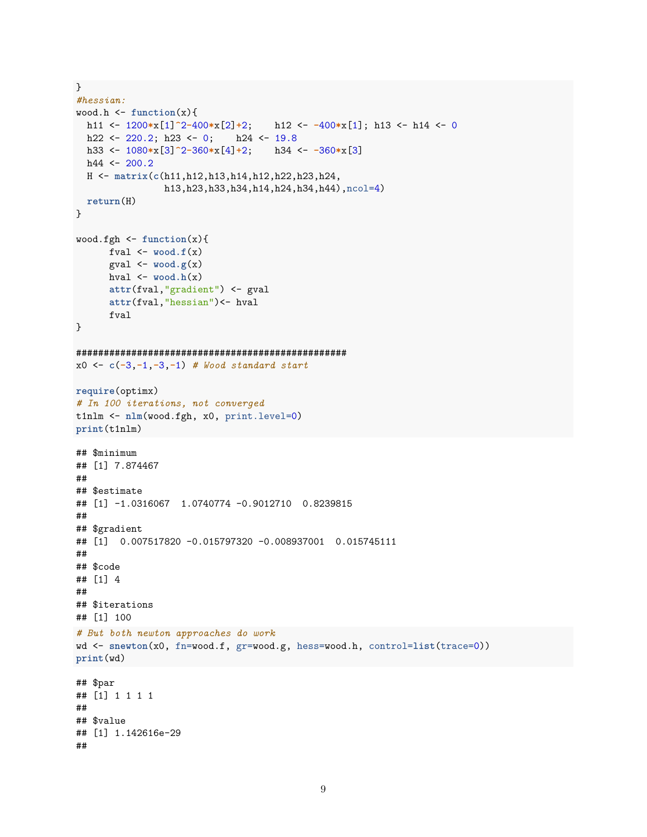```
}
#hessian:
wood.h <- function(x){
 h11 <- 1200*x[1]^2-400*x[2]+2; h12 <- -400*x[1]; h13 <- h14 <- 0
 h22 <- 220.2; h23 <- 0; h24 <- 19.8
 h33 <- 1080*x[3]^2-360*x[4]+2; h34 <- -360*x[3]
 h44 \leftarrow 200.2H <- matrix(c(h11,h12,h13,h14,h12,h22,h23,h24,
                h13,h23,h33,h34,h14,h24,h34,h44),ncol=4)
 return(H)
}
wood.fgh <- function(x){
      fval \leftarrow wood.f(x)gval \leq wood.g(x)hval \leq wood.h(x)
      attr(fval,"gradient") <- gval
      attr(fval,"hessian")<- hval
      fval
}
#################################################
x0 <- c(-3,-1,-3,-1) # Wood standard start
require(optimx)
# In 100 iterations, not converged
t1nlm <- nlm(wood.fgh, x0, print.level=0)
print(t1nlm)
## $minimum
## [1] 7.874467
##
## $estimate
## [1] -1.0316067 1.0740774 -0.9012710 0.8239815
##
## $gradient
## [1] 0.007517820 -0.015797320 -0.008937001 0.015745111
##
## $code
## [1] 4
##
## $iterations
## [1] 100
# But both newton approaches do work
wd <- snewton(x0, fn=wood.f, gr=wood.g, hess=wood.h, control=list(trace=0))
print(wd)
## $par
## [1] 1 1 1 1
##
## $value
## [1] 1.142616e-29
##
```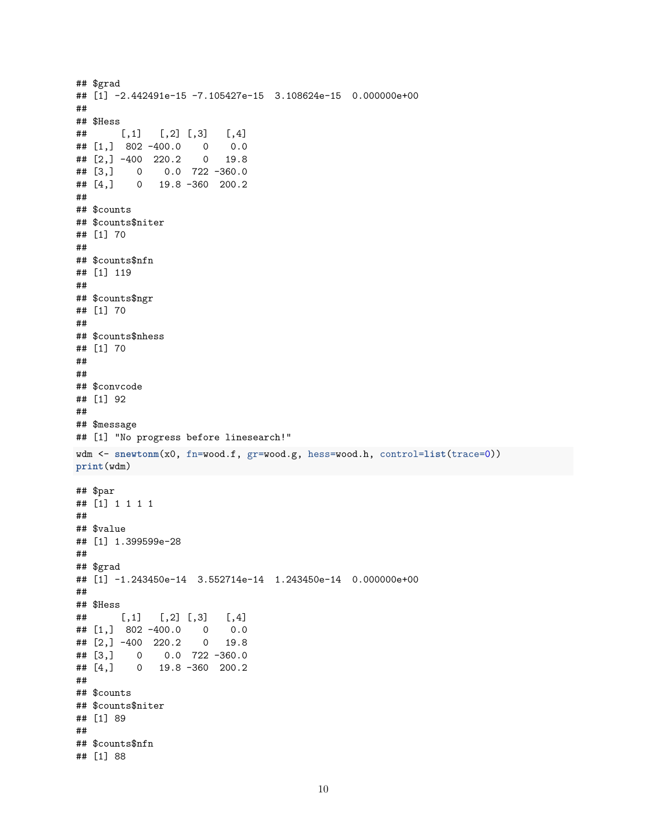```
## $grad
## [1] -2.442491e-15 -7.105427e-15 3.108624e-15 0.000000e+00
#### $Hess
\##
      [, 1][,2] [,3][,4]## [1, 3 802 -400.0 00.0## [2,] -400 220.2
                   0 \t 19.8## [3,]0.0 722 - 360.0\overline{0}0 19.8 -360 200.2
## [4,]\# \### $counts
## $counts$niter
## [1] 70
##
## $counts$nfn
## [1] 119
#### $counts$ngr
## [1] 70
#### $counts$nhess
## [1] 70
###### $convcode
## [1] 92
##
## $message
## [1] "No progress before linesearch!"
wdm <- snewtonm(x0, fn=wood.f, gr=wood.g, hess=wood.h, control=list(trace=0))
print(wdm)
## $par
## [1] 1 1 1 1
##
## $value
## [1] 1.399599e-28
##
## $grad
## [1] -1.243450e-14 3.552714e-14 1.243450e-14 0.000000e+00
#### $Hess
       [,1] [,2] [,3]\##
                         [,4]## [1, 3 \ 802 -400.0 \ 00.0## [2,] -400 220.2
                   0 19.8
\# [3,] 0 0.0 722 -360.0
## [4,]0 19.8 -360 200.2
##
## $counts
## $counts$niter
## [1] 89
#### $counts$nfn
## [1] 88
```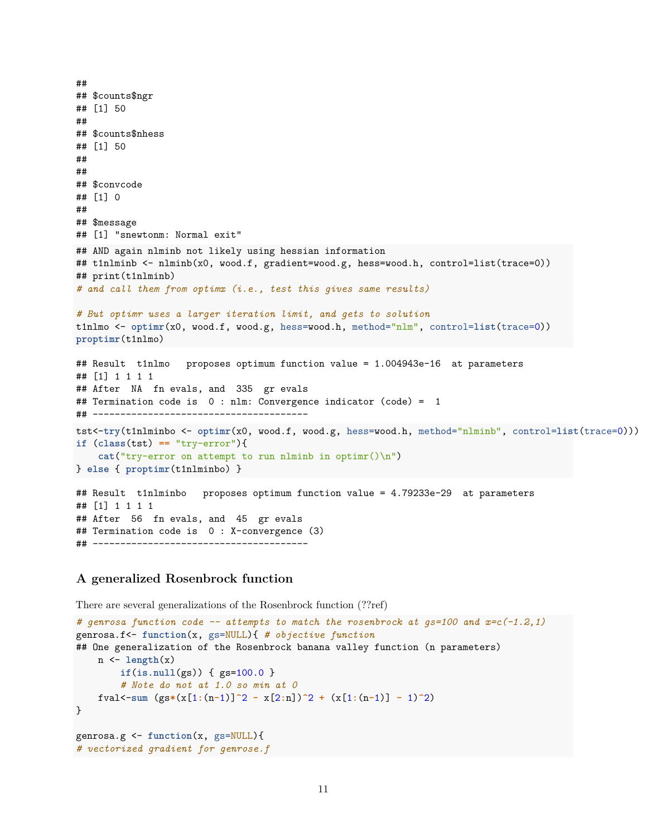```
##
## $counts$ngr
## [1] 50
##
## $counts$nhess
## [1] 50
##
##
## $convcode
## [1] 0
##
## $message
## [1] "snewtonm: Normal exit"
## AND again nlminb not likely using hessian information
## t1nlminb <- nlminb(x0, wood.f, gradient=wood.g, hess=wood.h, control=list(trace=0))
## print(t1nlminb)
# and call them from optimx (i.e., test this gives same results)
# But optimr uses a larger iteration limit, and gets to solution
t1nlmo <- optimr(x0, wood.f, wood.g, hess=wood.h, method="nlm", control=list(trace=0))
proptimr(t1nlmo)
## Result t1nlmo proposes optimum function value = 1.004943e-16 at parameters
## [1] 1 1 1 1
## After NA fn evals, and 335 gr evals
## Termination code is 0 : nlm: Convergence indicator (code) = 1
## ---------------------------------------
tst<-try(t1nlminbo <- optimr(x0, wood.f, wood.g, hess=wood.h, method="nlminb", control=list(trace=0)))
if (class(tst) == "try-error"){
    cat("try-error on attempt to run nlminb in optimr()\n")
} else { proptimr(t1nlminbo) }
## Result t1nlminbo proposes optimum function value = 4.79233e-29 at parameters
## [1] 1 1 1 1
## After 56 fn evals, and 45 gr evals
## Termination code is 0 : X-convergence (3)
## ---------------------------------------
```
#### **A generalized Rosenbrock function**

There are several generalizations of the Rosenbrock function (??ref)

```
# genrosa function code -- attempts to match the rosenbrock at gs=100 and x=c(-1.2,1)
genrosa.f<- function(x, gs=NULL){ # objective function
## One generalization of the Rosenbrock banana valley function (n parameters)
   n \leftarrow length(x)if(is.null(gs)) { gs=100.0 }
        # Note do not at 1.0 so min at 0
   fval < -sum (gs*(x[1:(n-1)]^2 - x[2:n])^2 + (x[1:(n-1)] - 1)^2)}
genrosa.g <- function(x, gs=NULL){
# vectorized gradient for genrose.f
```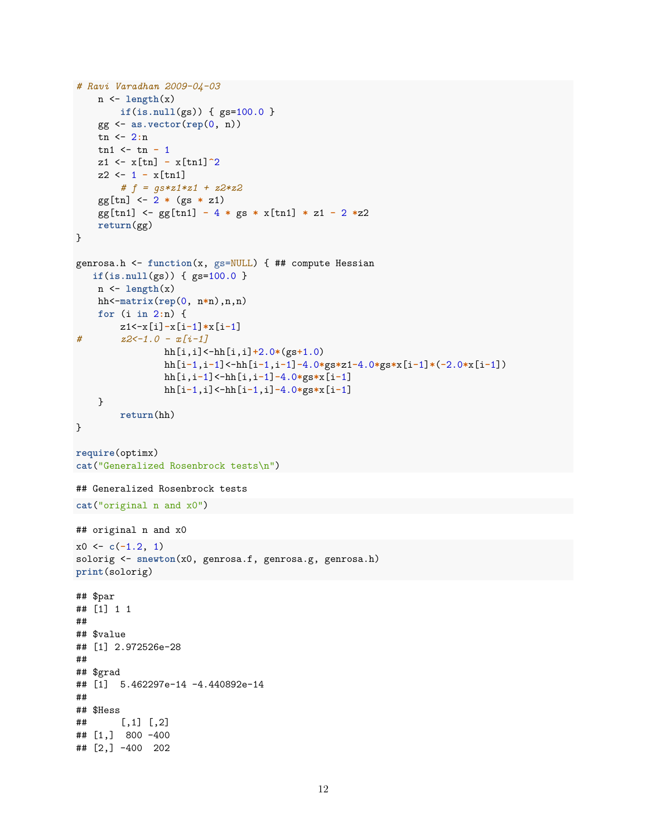```
# Ravi Varadhan 2009-04-03
    n <- length(x)
        if(is.null(gs)) { gs=100.0 }
    gg <- as.vector(rep(0, n))
    tn <- 2:n
    tn1 <- tn - 1
    z1 <- x[tn] - x[tn1]^2
    z2 <- 1 - x[tn1]
        # f = gs*z1*z1 + z2*z2
    gg[tn] <- 2 * (gs * z1)
    gg[tn1] <- gg[tn1] - 4 * gs * x[tn1] * z1 - 2 *z2
    return(gg)
}
genrosa.h <- function(x, gs=NULL) { ## compute Hessian
   if(is.null(gs)) { gs=100.0 }
    n <- length(x)
   hh<-matrix(rep(0, n*n),n,n)
    for (i in 2:n) {
        z1<-x[i]-x[i-1]*x[i-1]
# z2<-1.0 - x[i-1]
                hh[i,i]<-hh[i,i]+2.0*(gs+1.0)
                hh[i-1,i-1]<-hh[i-1,i-1]-4.0*gs*z1-4.0*gs*x[i-1]*(-2.0*x[i-1])
                hh[i,i-1]<-hh[i,i-1]-4.0*gs*x[i-1]
                hh[i-1,i]<-hh[i-1,i]-4.0*gs*x[i-1]
    }
        return(hh)
}
require(optimx)
cat("Generalized Rosenbrock tests\n")
## Generalized Rosenbrock tests
cat("original n and x0")
## original n and x0
x0 \leftarrow c(-1.2, 1)solorig <- snewton(x0, genrosa.f, genrosa.g, genrosa.h)
print(solorig)
## $par
## [1] 1 1
##
## $value
## [1] 2.972526e-28
##
## $grad
## [1] 5.462297e-14 -4.440892e-14
##
## $Hess
## [,1] [,2]
## [1,] 800 -400
## [2,] -400 202
```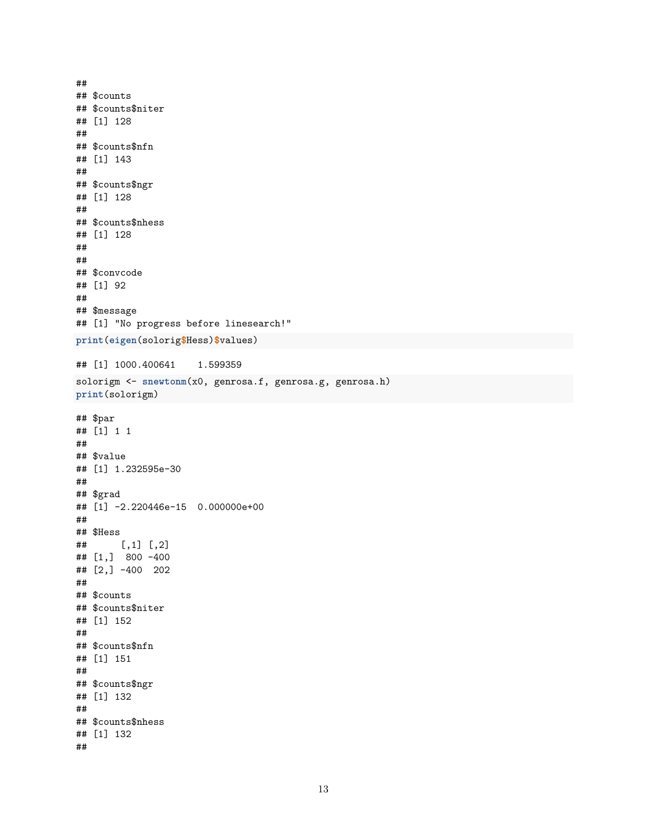```
##
## $counts
## $counts$niter
## [1] 128
\# \### $counts$nfn
## [1] 143
\# \### $counts$ngr
## [1] 128
#### $counts$nhess
## [1] 128
##
#### $convcode
## [1] 92
#### $message
## [1] "No progress before linesearch!"
print(eigen(solorig$Hess)$values)
## [1] 1000.400641
                     1.599359
solorigm <- snewtonm(x0, genrosa.f, genrosa.g, genrosa.h)
print(solorigm)
## $par
## [1] 1 1
#### $value
## [1] 1.232595e-30
##
## $grad
## [1] -2.220446e-15 0.000000e+00
#### $Hess
       [,1] [,2]\##
## [1,] 800 -400## [2,] -400 202
##
## $counts
## $counts$niter
## [1] 152
\# \### $counts$nfn
## [1] 151
\# \### $counts$ngr
## [1] 132
#### $counts$nhess
## [1] 132
\# \#
```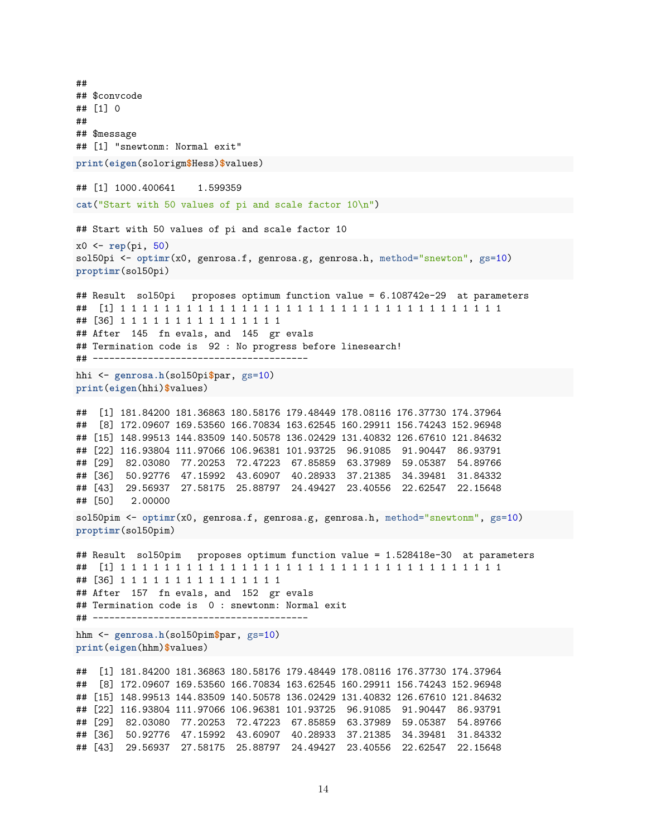## ## \$convcode ## [1] 0 ## ## \$message ## [1] "snewtonm: Normal exit" **print**(**eigen**(solorigm**\$**Hess)**\$**values) ## [1] 1000.400641 1.599359 **cat**("Start with 50 values of pi and scale factor 10\n") ## Start with 50 values of pi and scale factor 10 x0 <- **rep**(pi, 50) sol50pi <- optimr(x0, genrosa.f, genrosa.g, genrosa.h, method="snewton", gs=10) **proptimr**(sol50pi) ## Result sol50pi proposes optimum function value = 6.108742e-29 at parameters ## [1] 1 1 1 1 1 1 1 1 1 1 1 1 1 1 1 1 1 1 1 1 1 1 1 1 1 1 1 1 1 1 1 1 1 1 1 ## [36] 1 1 1 1 1 1 1 1 1 1 1 1 1 1 1 ## After 145 fn evals, and 145 gr evals ## Termination code is 92 : No progress before linesearch! ## -------------------------------------- hhi <- **genrosa.h**(sol50pi**\$**par, gs=10) **print**(**eigen**(hhi)**\$**values) ## [1] 181.84200 181.36863 180.58176 179.48449 178.08116 176.37730 174.37964 ## [8] 172.09607 169.53560 166.70834 163.62545 160.29911 156.74243 152.96948 ## [15] 148.99513 144.83509 140.50578 136.02429 131.40832 126.67610 121.84632 ## [22] 116.93804 111.97066 106.96381 101.93725 96.91085 91.90447 86.93791 ## [29] 82.03080 77.20253 72.47223 67.85859 63.37989 59.05387 54.89766 ## [36] 50.92776 47.15992 43.60907 40.28933 37.21385 34.39481 31.84332 ## [43] 29.56937 27.58175 25.88797 24.49427 23.40556 22.62547 22.15648 ## [50] 2.00000 sol50pim <- **optimr**(x0, genrosa.f, genrosa.g, genrosa.h, method="snewtonm", gs=10) **proptimr**(sol50pim) ## Result sol50pim proposes optimum function value = 1.528418e-30 at parameters ## [1] 1 1 1 1 1 1 1 1 1 1 1 1 1 1 1 1 1 1 1 1 1 1 1 1 1 1 1 1 1 1 1 1 1 1 1 ## [36] 1 1 1 1 1 1 1 1 1 1 1 1 1 1 1 ## After 157 fn evals, and 152 gr evals ## Termination code is 0 : snewtonm: Normal exit ## -------------------------------------- hhm <- **genrosa.h**(sol50pim**\$**par, gs=10) **print**(**eigen**(hhm)**\$**values) ## [1] 181.84200 181.36863 180.58176 179.48449 178.08116 176.37730 174.37964 ## [8] 172.09607 169.53560 166.70834 163.62545 160.29911 156.74243 152.96948 ## [15] 148.99513 144.83509 140.50578 136.02429 131.40832 126.67610 121.84632 ## [22] 116.93804 111.97066 106.96381 101.93725 96.91085 91.90447 86.93791 ## [29] 82.03080 77.20253 72.47223 67.85859 63.37989 59.05387 54.89766 ## [36] 50.92776 47.15992 43.60907 40.28933 37.21385 34.39481 31.84332 ## [43] 29.56937 27.58175 25.88797 24.49427 23.40556 22.62547 22.15648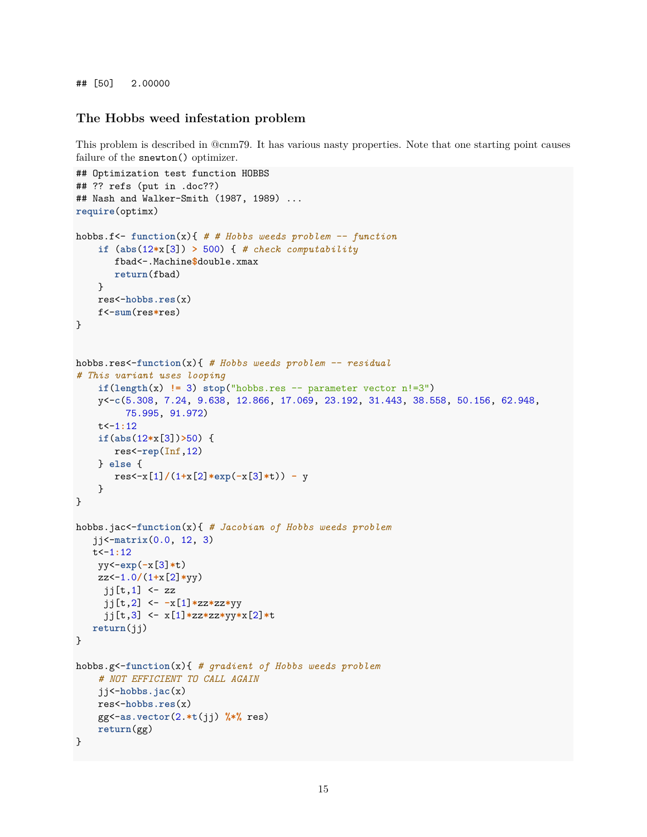## [50] 2.00000

#### **The Hobbs weed infestation problem**

This problem is described in @cnm79. It has various nasty properties. Note that one starting point causes failure of the snewton() optimizer.

```
## Optimization test function HOBBS
## ?? refs (put in .doc??)
## Nash and Walker-Smith (1987, 1989) ...
require(optimx)
hobbs.f<- function(x){ # # Hobbs weeds problem -- function
    if (abs(12*x[3]) > 500) { # check computability
       fbad<-.Machine$double.xmax
       return(fbad)
    }
    res<-hobbs.res(x)
    f<-sum(res*res)
}
hobbs.res<-function(x){ # Hobbs weeds problem -- residual
# This variant uses looping
    if(length(x) != 3) stop("hobs.res -- parameter vector n != 3")y<-c(5.308, 7.24, 9.638, 12.866, 17.069, 23.192, 31.443, 38.558, 50.156, 62.948,
         75.995, 91.972)
    t<-1:12
    if(abs(12*x[3])>50) {
       res<-rep(Inf,12)
    } else {
       res<-x[1]/(1+x[2]*exp(-x[3]*t)) - y
    }
}
hobbs.jac<-function(x){ # Jacobian of Hobbs weeds problem
   jj<-matrix(0.0, 12, 3)
   t<-1:12
   yy<-exp(-x[3]*t)
    zz<-1.0/(1+x[2]*yy)
     jj[t,1] \leftarrow zz
     jj[t,2] <- -x[1]*zz*zz*yy
     jj[t,3] <- x[1]*zz*zz*yy*x[2]*t
  return(jj)
}
hobbs.g<-function(x){ # gradient of Hobbs weeds problem
    # NOT EFFICIENT TO CALL AGAIN
    jj<-hobbs.jac(x)
    res<-hobbs.res(x)
    gg<-as.vector(2.*t(jj) %*% res)
    return(gg)
}
```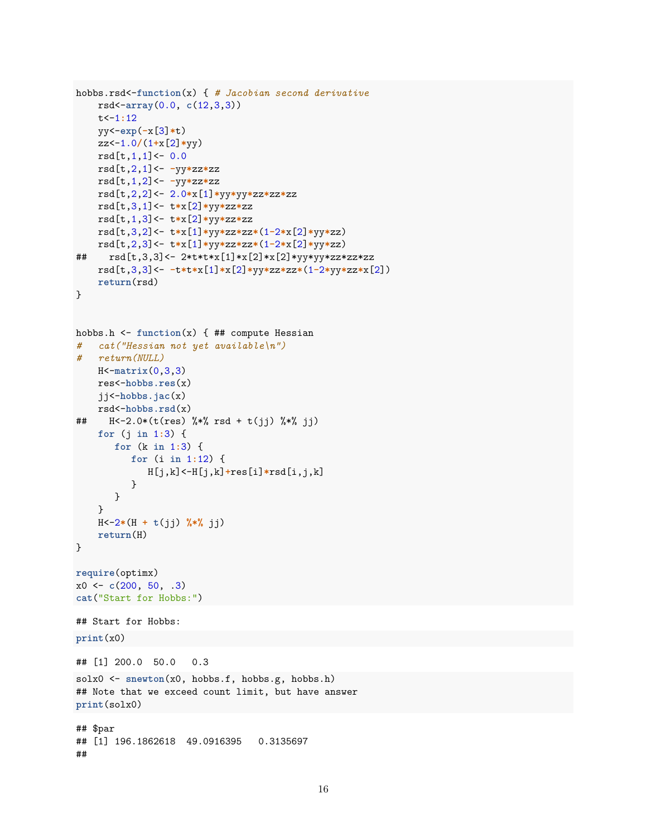```
hobbs.rsd<-function(x) { # Jacobian second derivativersd < -array(0.0, c(12,3,3))t < -1:12yy < -exp(-x[3]*t)zz < -1.0/(1+x[2]*yy)rsd[t,1,1]<-0.0rsd[t,2,1]<--yy*zz*zz
    rsd[t,1,2]<- -yy*zz*zz
    rsd[t,2,2]<-2.0*x[1]*yy*yyzz*zz*zzrsd[t,3,1]<- t*x[2]*yy*zz*zzrsd[t,1,3]<- t*x[2]*yy*zz*zzrsd[t,3,2]<- t*x[1]*yy*zz*z*(1-2*x[2]*yy*zz)rsd[t,2,3]<- t*x[1]*yy*zz*z*(1-2*x[2]*yy*zz)##rsd[t,3,3] <- 2*t*t*x[1]*x[2]*x[2]*yy*yy*zz*zz*zz
    rsd[t,3,3]<-t*t*x[1]*x[2]*yy*zz*z*(1-2*yy*zz*x[2])return(rsd)\mathcal{F}hobbs.h <- function(x) { \## compute Hessian
# cat("Hessian not yet available\langle n'' \rangle# return (NULL)H < -matrix(0, 3, 3)res<-hobbs.res(x)jj<sup>-\text{hobs}</sup>. \text{jac}(x)rsd <-hobbs.rsd(x)H<-2.0*(t(res) %*% rsd + t(jj) %*% jj)
##for (j \in 1:3) {
       for (k \in \{1:3\} {
          for (i \in [1:12) {
              H[j,k] < -H[j,k] + res[i] * rsd[i, j, k]
           \mathcal{L}\mathcal{L}\mathcal{F}H < -2*(H + t(jj) % (iii)
    return(H)\mathcal{F}require(optimx)
x0 \leftarrow c(200, 50, .3)cat("Start for Hobbs:")
## Start for Hobbs:
print(x0)## [1] 200.0 50.0
                      0.3solx0 \leftarrow snewton(x0, hobs.f, hobs.g, hobs.h)## Note that we exceed count limit, but have answer
print(solx0)
## $par
## [1] 196.1862618 49.0916395 0.3135697
##
```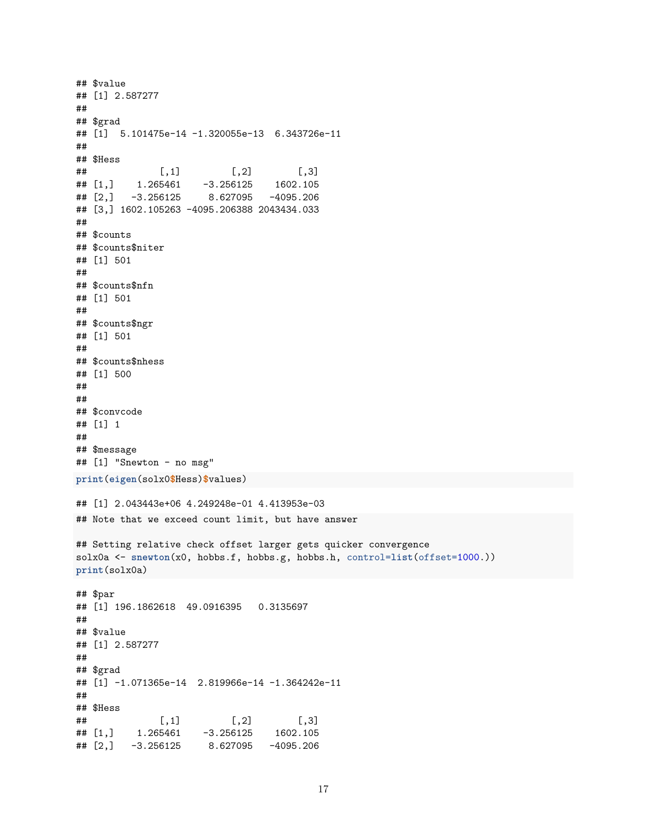```
## $value
## [1] 2.587277
##
## $grad
## [1] 5.101475e-14 -1.320055e-13 6.343726e-11
##
## $Hess
## [,1] [,2] [,3]
## [1,] 1.265461 -3.256125 1602.105
## [2,] -3.256125 8.627095 -4095.206
## [3,] 1602.105263 -4095.206388 2043434.033
##
## $counts
## $counts$niter
## [1] 501
##
## $counts$nfn
## [1] 501
##
## $counts$ngr
## [1] 501
##
## $counts$nhess
## [1] 500
##
##
## $convcode
## [1] 1
##
## $message
## [1] "Snewton - no msg"
print(eigen(solx0$Hess)$values)
## [1] 2.043443e+06 4.249248e-01 4.413953e-03
## Note that we exceed count limit, but have answer
## Setting relative check offset larger gets quicker convergence
solx0a <- snewton(x0, hobbs.f, hobbs.g, hobbs.h, control=list(offset=1000.))
print(solx0a)
## $par
## [1] 196.1862618 49.0916395 0.3135697
##
## $value
## [1] 2.587277
##
## $grad
## [1] -1.071365e-14 2.819966e-14 -1.364242e-11
##
## $Hess
## [,1] [,2] [,3]
## [1,] 1.265461 -3.256125 1602.105
## [2,] -3.256125 8.627095 -4095.206
```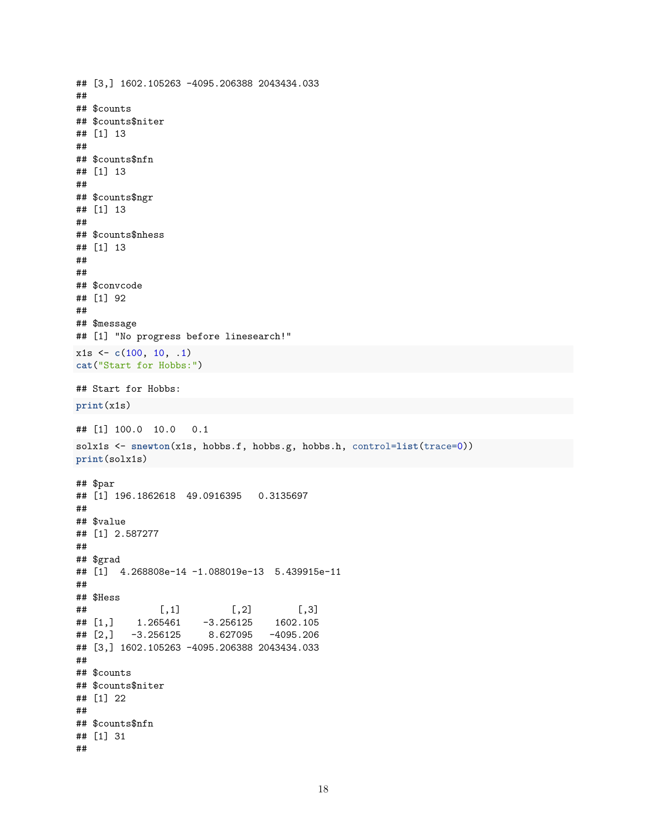```
## [3,] 1602.105263 -4095.206388 2043434.033
#### $counts
## $counts$niter
## [1] 13
\# \### $counts$nfn
## [1] 13
#### $counts$ngr
## [1] 13
##
## $counts$nhess
## [1] 13
###### $convcode
## [1] 92
#### $message
## [1] "No progress before linesearch!"
x1s \leftarrow c(100, 10, .1)cat("Start for Hobbs:")
## Start for Hobbs:
print(x1s)## [1] 100.0 10.0 0.1
solx1s <- snewton(x1s, hobbs.f, hobbs.g, hobbs.h, control=list(trace=0))
print(solx1s)
## $par
## [1] 196.1862618 49.0916395 0.3135697
#### $value
## [1] 2.587277
\# \### $grad
## [1] 4.268808e-14 -1.088019e-13 5.439915e-11
##
## $Hess
##[, 2][, 3][,1]## [1,]1.265461
                      -3.2561251602.105
        -3.2561258.627095
                                 -4095.206## [2,]## [3,] 1602.105263 -4095.206388 2043434.033
#### $counts
## $counts$niter
## [1] 22
##
## $counts$nfn
## [1] 31
##
```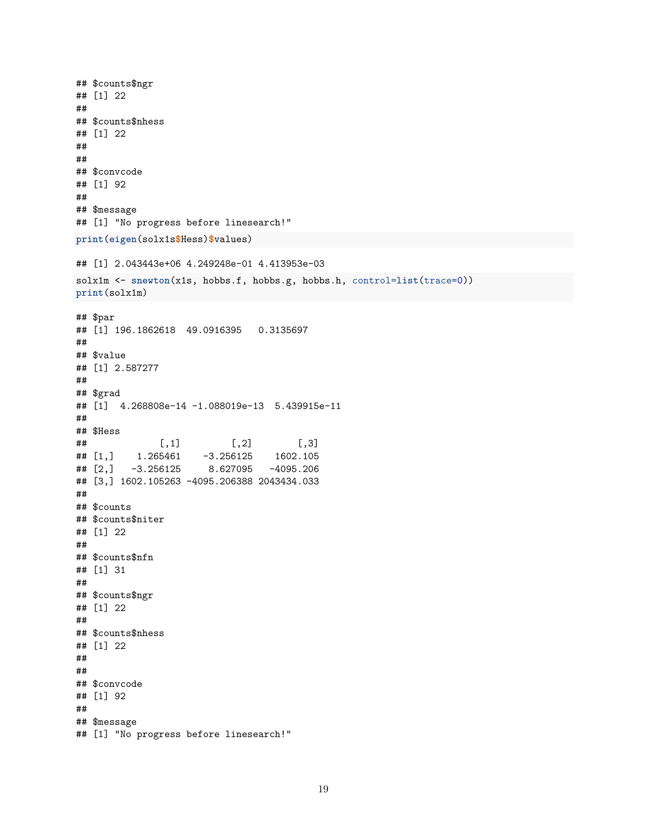```
## $counts$ngr
## [1] 22
##
## $counts$nhess
## [1] 22
##
##
## $convcode
## [1] 92
##
## $message
## [1] "No progress before linesearch!"
print(eigen(solx1s$Hess)$values)
## [1] 2.043443e+06 4.249248e-01 4.413953e-03
solx1m <- snewton(x1s, hobbs.f, hobbs.g, hobbs.h, control=list(trace=0))
print(solx1m)
## $par
## [1] 196.1862618 49.0916395 0.3135697
##
## $value
## [1] 2.587277
##
## $grad
## [1] 4.268808e-14 -1.088019e-13 5.439915e-11
##
## $Hess
## [,1] [,2] [,3]
## [1,] 1.265461 -3.256125 1602.105
## [2,] -3.256125 8.627095 -4095.206
## [3,] 1602.105263 -4095.206388 2043434.033
##
## $counts
## $counts$niter
## [1] 22
##
## $counts$nfn
## [1] 31
##
## $counts$ngr
## [1] 22
##
## $counts$nhess
## [1] 22
##
##
## $convcode
## [1] 92
##
## $message
## [1] "No progress before linesearch!"
```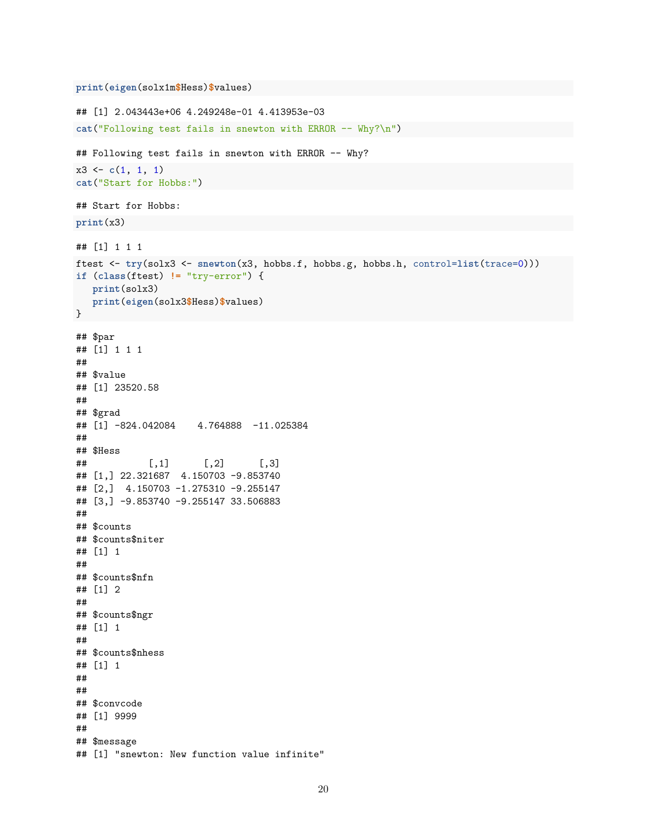```
print(eigen(solx1m$Hess)$values)
```

```
## [1] 2.043443e+06 4.249248e-01 4.413953e-03
cat("Following test fails in snewton with ERROR -- Why?\n")
## Following test fails in snewton with ERROR -- Why?
x3 <- c(1, 1, 1)
cat("Start for Hobbs:")
## Start for Hobbs:
print(x3)
## [1] 1 1 1
ftest <- try(solx3 <- snewton(x3, hobbs.f, hobbs.g, hobbs.h, control=list(trace=0)))
if (class(ftest) != "try-error") {
  print(solx3)
  print(eigen(solx3$Hess)$values)
}
## $par
## [1] 1 1 1
##
## $value
## [1] 23520.58
##
## $grad
## [1] -824.042084 4.764888 -11.025384
##
## $Hess
## [,1] [,2] [,3]
## [1,] 22.321687 4.150703 -9.853740
## [2,] 4.150703 -1.275310 -9.255147
## [3,] -9.853740 -9.255147 33.506883
##
## $counts
## $counts$niter
## [1] 1
##
## $counts$nfn
## [1] 2
##
## $counts$ngr
## [1] 1
##
## $counts$nhess
## [1] 1
##
##
## $convcode
## [1] 9999
##
## $message
## [1] "snewton: New function value infinite"
```